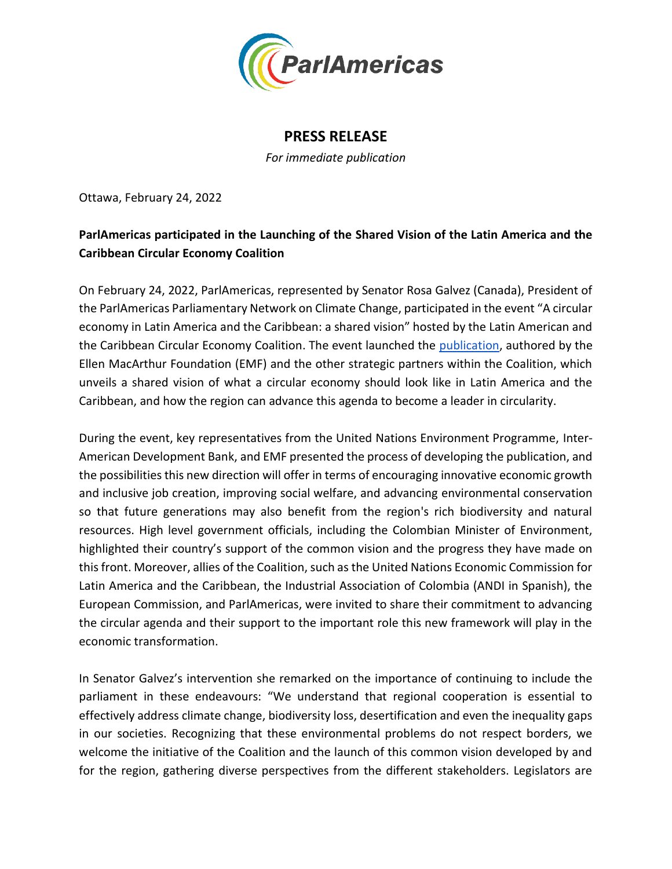

## **PRESS RELEASE**

*For immediate publication*

Ottawa, February 24, 2022

## **ParlAmericas participated in the Launching of the Shared Vision of the Latin America and the Caribbean Circular Economy Coalition**

On February 24, 2022, ParlAmericas, represented by Senator Rosa Galvez (Canada), President of the ParlAmericas Parliamentary Network on Climate Change, participated in the event "A circular economy in Latin America and the Caribbean: a shared vision" hosted by the Latin American and the Caribbean Circular Economy Coalition. The event launched the [publication,](https://www.coalicioneconomiacircular.org/en/economia-circular-en-america-latina-y-el-caribe-una-vision-compartida/) authored by the Ellen MacArthur Foundation (EMF) and the other strategic partners within the Coalition, which unveils a shared vision of what a circular economy should look like in Latin America and the Caribbean, and how the region can advance this agenda to become a leader in circularity.

During the event, key representatives from the United Nations Environment Programme, Inter-American Development Bank, and EMF presented the process of developing the publication, and the possibilities this new direction will offer in terms of encouraging innovative economic growth and inclusive job creation, improving social welfare, and advancing environmental conservation so that future generations may also benefit from the region's rich biodiversity and natural resources. High level government officials, including the Colombian Minister of Environment, highlighted their country's support of the common vision and the progress they have made on this front. Moreover, allies of the Coalition, such as the United Nations Economic Commission for Latin America and the Caribbean, the Industrial Association of Colombia (ANDI in Spanish), the European Commission, and ParlAmericas, were invited to share their commitment to advancing the circular agenda and their support to the important role this new framework will play in the economic transformation.

In Senator Galvez's intervention she remarked on the importance of continuing to include the parliament in these endeavours: "We understand that regional cooperation is essential to effectively address climate change, biodiversity loss, desertification and even the inequality gaps in our societies. Recognizing that these environmental problems do not respect borders, we welcome the initiative of the Coalition and the launch of this common vision developed by and for the region, gathering diverse perspectives from the different stakeholders. Legislators are